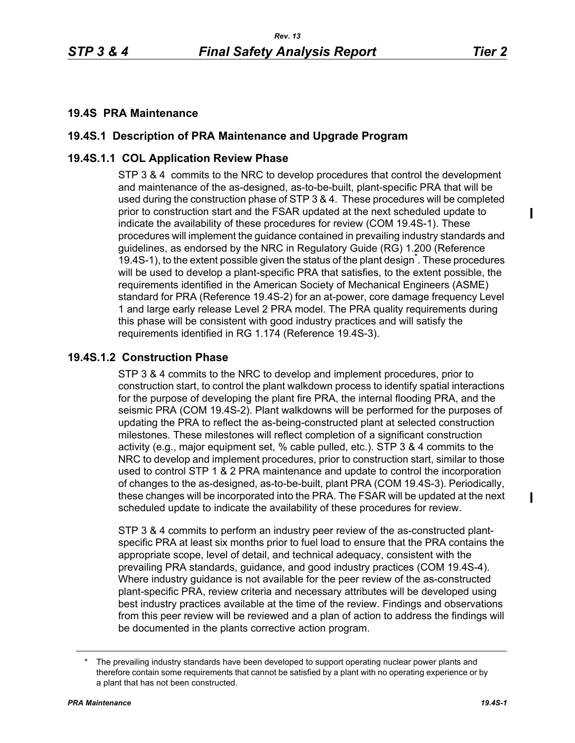### **19.4S PRA Maintenance**

# **19.4S.1 Description of PRA Maintenance and Upgrade Program**

# **19.4S.1.1 COL Application Review Phase**

STP 3 & 4 commits to the NRC to develop procedures that control the development and maintenance of the as-designed, as-to-be-built, plant-specific PRA that will be used during the construction phase of STP 3 & 4. These procedures will be completed prior to construction start and the FSAR updated at the next scheduled update to indicate the availability of these procedures for review (COM 19.4S-1). These procedures will implement the guidance contained in prevailing industry standards and guidelines, as endorsed by the NRC in Regulatory Guide (RG) 1.200 (Reference 19.4S-1), to the extent possible given the status of the plant design<sup>\*</sup>. These procedures will be used to develop a plant-specific PRA that satisfies, to the extent possible, the requirements identified in the American Society of Mechanical Engineers (ASME) standard for PRA (Reference 19.4S-2) for an at-power, core damage frequency Level 1 and large early release Level 2 PRA model. The PRA quality requirements during this phase will be consistent with good industry practices and will satisfy the requirements identified in RG 1.174 (Reference 19.4S-3).

### **19.4S.1.2 Construction Phase**

STP 3 & 4 commits to the NRC to develop and implement procedures, prior to construction start, to control the plant walkdown process to identify spatial interactions for the purpose of developing the plant fire PRA, the internal flooding PRA, and the seismic PRA (COM 19.4S-2). Plant walkdowns will be performed for the purposes of updating the PRA to reflect the as-being-constructed plant at selected construction milestones. These milestones will reflect completion of a significant construction activity (e.g., major equipment set, % cable pulled, etc.). STP 3 & 4 commits to the NRC to develop and implement procedures, prior to construction start, similar to those used to control STP 1 & 2 PRA maintenance and update to control the incorporation of changes to the as-designed, as-to-be-built, plant PRA (COM 19.4S-3). Periodically, these changes will be incorporated into the PRA. The FSAR will be updated at the next scheduled update to indicate the availability of these procedures for review.

STP 3 & 4 commits to perform an industry peer review of the as-constructed plantspecific PRA at least six months prior to fuel load to ensure that the PRA contains the appropriate scope, level of detail, and technical adequacy, consistent with the prevailing PRA standards, guidance, and good industry practices (COM 19.4S-4). Where industry guidance is not available for the peer review of the as-constructed plant-specific PRA, review criteria and necessary attributes will be developed using best industry practices available at the time of the review. Findings and observations from this peer review will be reviewed and a plan of action to address the findings will be documented in the plants corrective action program.

The prevailing industry standards have been developed to support operating nuclear power plants and therefore contain some requirements that cannot be satisfied by a plant with no operating experience or by a plant that has not been constructed.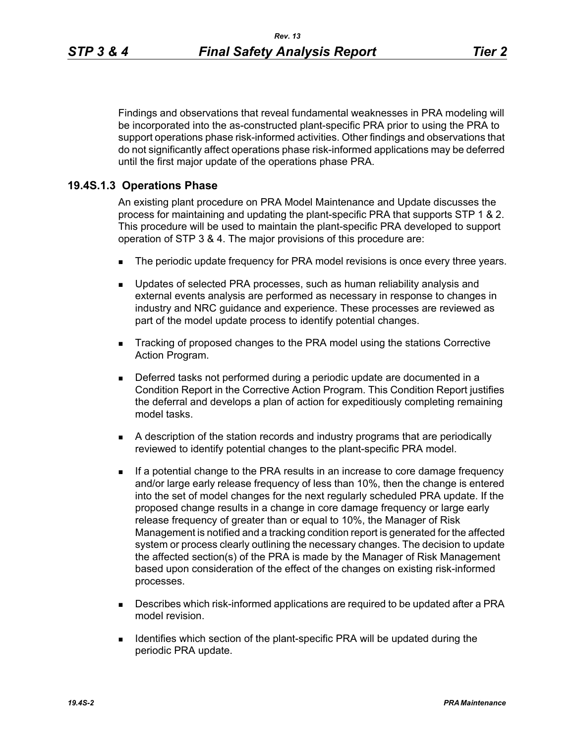Findings and observations that reveal fundamental weaknesses in PRA modeling will be incorporated into the as-constructed plant-specific PRA prior to using the PRA to support operations phase risk-informed activities. Other findings and observations that do not significantly affect operations phase risk-informed applications may be deferred until the first major update of the operations phase PRA.

### **19.4S.1.3 Operations Phase**

An existing plant procedure on PRA Model Maintenance and Update discusses the process for maintaining and updating the plant-specific PRA that supports STP 1 & 2. This procedure will be used to maintain the plant-specific PRA developed to support operation of STP 3 & 4. The major provisions of this procedure are:

- The periodic update frequency for PRA model revisions is once every three years.
- **Updates of selected PRA processes, such as human reliability analysis and** external events analysis are performed as necessary in response to changes in industry and NRC guidance and experience. These processes are reviewed as part of the model update process to identify potential changes.
- Tracking of proposed changes to the PRA model using the stations Corrective Action Program.
- Deferred tasks not performed during a periodic update are documented in a Condition Report in the Corrective Action Program. This Condition Report justifies the deferral and develops a plan of action for expeditiously completing remaining model tasks.
- A description of the station records and industry programs that are periodically reviewed to identify potential changes to the plant-specific PRA model.
- **If a potential change to the PRA results in an increase to core damage frequency** and/or large early release frequency of less than 10%, then the change is entered into the set of model changes for the next regularly scheduled PRA update. If the proposed change results in a change in core damage frequency or large early release frequency of greater than or equal to 10%, the Manager of Risk Management is notified and a tracking condition report is generated for the affected system or process clearly outlining the necessary changes. The decision to update the affected section(s) of the PRA is made by the Manager of Risk Management based upon consideration of the effect of the changes on existing risk-informed processes.
- Describes which risk-informed applications are required to be updated after a PRA model revision.
- **IDENTIFIELD IDENTIFIELD** Section of the plant-specific PRA will be updated during the periodic PRA update.